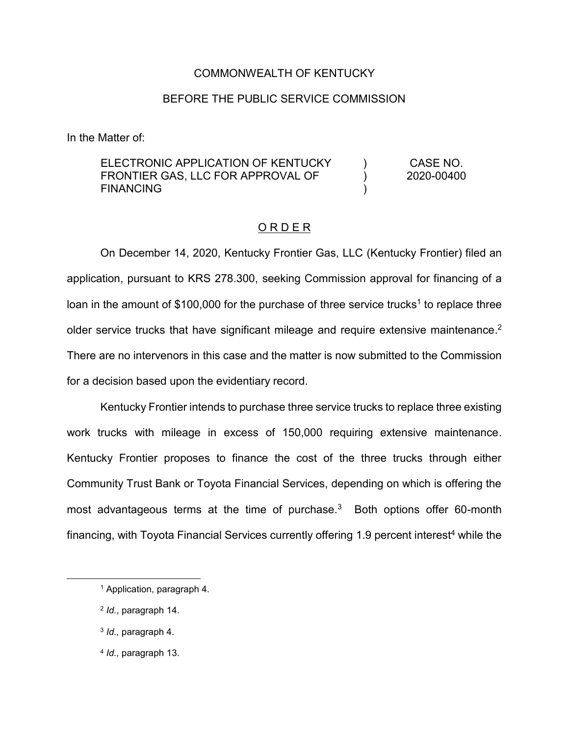# COMMONWEALTH OF KENTUCKY

# BEFORE THE PUBLIC SERVICE COMMISSION

In the Matter of:

#### ELECTRONIC APPLICATION OF KENTUCKY FRONTIER GAS, LLC FOR APPROVAL OF FINANCING  $\lambda$ ) ) CASE NO. 2020-00400

### O R D E R

On December 14, 2020, Kentucky Frontier Gas, LLC (Kentucky Frontier) filed an application, pursuant to KRS 278.300, seeking Commission approval for financing of a loan in the amount of \$100,000 for the purchase of three service trucks<sup>1</sup> to replace three older service trucks that have significant mileage and require extensive maintenance.<sup>2</sup> There are no intervenors in this case and the matter is now submitted to the Commission for a decision based upon the evidentiary record.

Kentucky Frontier intends to purchase three service trucks to replace three existing work trucks with mileage in excess of 150,000 requiring extensive maintenance. Kentucky Frontier proposes to finance the cost of the three trucks through either Community Trust Bank or Toyota Financial Services, depending on which is offering the most advantageous terms at the time of purchase.<sup>3</sup> Both options offer 60-month financing, with Toyota Financial Services currently offering 1.9 percent interest<sup>4</sup> while the

<sup>4</sup> *Id.,* paragraph 13.

<sup>1</sup> Application, paragraph 4.

<sup>2</sup> *Id.*, paragraph 14.

<sup>3</sup> *Id.,* paragraph 4.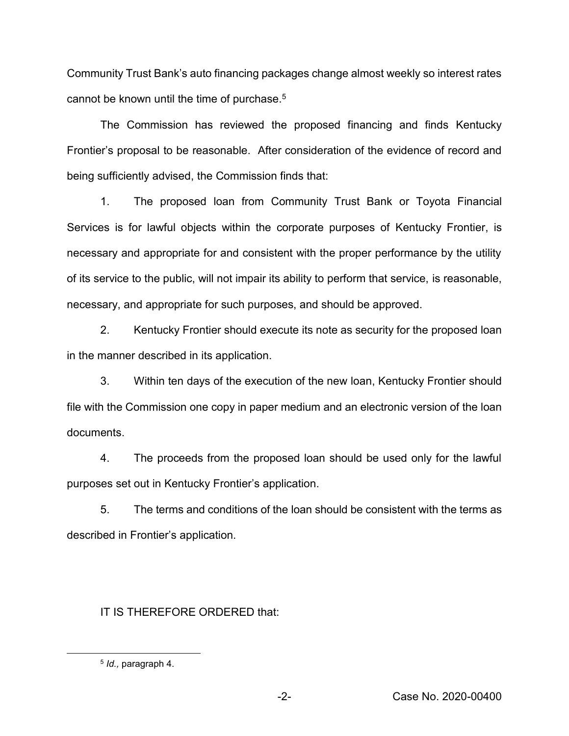Community Trust Bank's auto financing packages change almost weekly so interest rates cannot be known until the time of purchase.5

The Commission has reviewed the proposed financing and finds Kentucky Frontier's proposal to be reasonable. After consideration of the evidence of record and being sufficiently advised, the Commission finds that:

1. The proposed loan from Community Trust Bank or Toyota Financial Services is for lawful objects within the corporate purposes of Kentucky Frontier, is necessary and appropriate for and consistent with the proper performance by the utility of its service to the public, will not impair its ability to perform that service, is reasonable, necessary, and appropriate for such purposes, and should be approved.

2. Kentucky Frontier should execute its note as security for the proposed loan in the manner described in its application.

3. Within ten days of the execution of the new loan, Kentucky Frontier should file with the Commission one copy in paper medium and an electronic version of the loan documents.

4. The proceeds from the proposed loan should be used only for the lawful purposes set out in Kentucky Frontier's application.

5. The terms and conditions of the loan should be consistent with the terms as described in Frontier's application.

# IT IS THEREFORE ORDERED that:

<sup>5</sup> *Id.,* paragraph 4.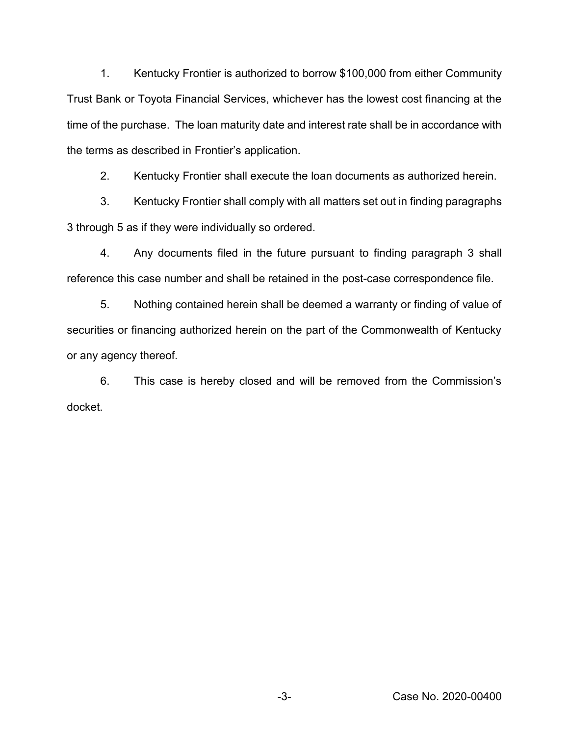1. Kentucky Frontier is authorized to borrow \$100,000 from either Community Trust Bank or Toyota Financial Services, whichever has the lowest cost financing at the time of the purchase. The loan maturity date and interest rate shall be in accordance with the terms as described in Frontier's application.

2. Kentucky Frontier shall execute the loan documents as authorized herein.

3. Kentucky Frontier shall comply with all matters set out in finding paragraphs 3 through 5 as if they were individually so ordered.

4. Any documents filed in the future pursuant to finding paragraph 3 shall reference this case number and shall be retained in the post-case correspondence file.

5. Nothing contained herein shall be deemed a warranty or finding of value of securities or financing authorized herein on the part of the Commonwealth of Kentucky or any agency thereof.

6. This case is hereby closed and will be removed from the Commission's docket.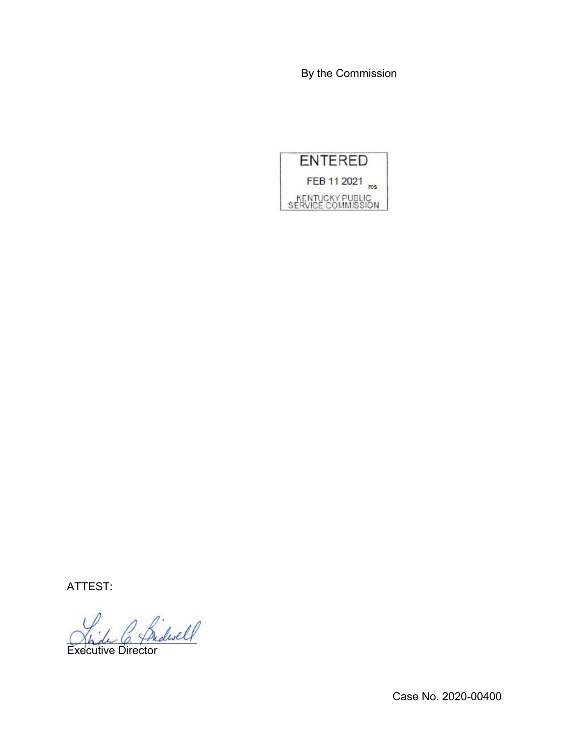By the Commission



ATTEST:

Shide C. Thedwell

Executive Director

Case No. 2020-00400